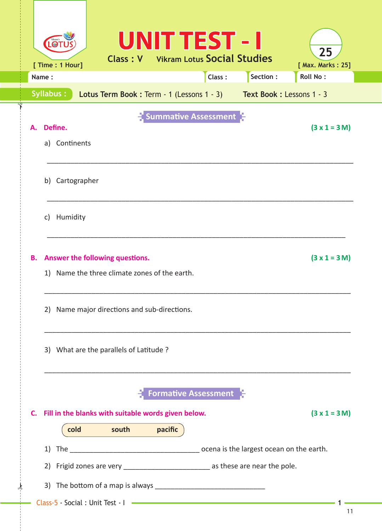| Name:                                                     |                                                                    | Class: | Section: | <b>Roll No:</b> |
|-----------------------------------------------------------|--------------------------------------------------------------------|--------|----------|-----------------|
| Syllabus:                                                 | Lotus Term Book: Term - 1 (Lessons 1 - 3) Text Book: Lessons 1 - 3 |        |          |                 |
| Define.<br>А.                                             | $\frac{1}{2}$ Summative Assessment                                 |        |          | $(3x1 = 3M)$    |
| a) Continents                                             |                                                                    |        |          |                 |
|                                                           |                                                                    |        |          |                 |
| b) Cartographer                                           |                                                                    |        |          |                 |
| Humidity<br>C)                                            |                                                                    |        |          |                 |
|                                                           |                                                                    |        |          |                 |
| Answer the following questions.<br>В.                     |                                                                    |        |          | $(3x1 = 3M)$    |
| 1) Name the three climate zones of the earth.             |                                                                    |        |          |                 |
| 2) Name major directions and sub-directions.              |                                                                    |        |          |                 |
|                                                           |                                                                    |        |          |                 |
| 3) What are the parallels of Latitude ?                   |                                                                    |        |          |                 |
|                                                           |                                                                    |        |          |                 |
|                                                           | <b>Formative Assessment</b>                                        |        |          |                 |
| Fill in the blanks with suitable words given below.<br>C. |                                                                    |        |          | $(3 x 1 = 3 M)$ |
| cold south pacific                                        |                                                                    |        |          |                 |
|                                                           |                                                                    |        |          |                 |